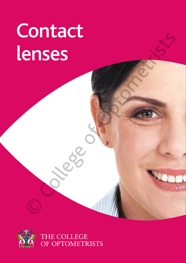# Contact lenses<br>
Lenses<br>
College of Optometric Science<br>
College of Optometric Science<br>
College of Optometric Science<br>
College of Optometric Science<br>
College of Optometric Science<br>
College of Optometric Science<br>
College of Optometri

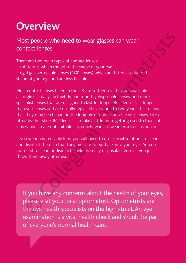### **Overview**

Most people who need to wear glasses can wear contact lenses.

There are two main types of contact lenses:

- soft lenses which mould to the shape of your eye
- rigid gas permeable lenses (RGP lenses) which are fitted closely to the shape of your eye and are less flexible.

Most contact lenses fitted in the UK are soft lenses.They are available as single use daily, fortnightly and monthly disposable lenses, and more specialist lenses that are designed to last for longer. RGP lenses last longer than soft lenses and are usually replaced every one to two years.This means that they may be cheaper in the long term than disposable soft lenses. Like a fitted leather shoe, RGP lenses can take a little more getting used to than soft lenses, and so are not suitable if you only want to wear lenses occasionally. st people who need to wear glasses can wear<br>tact lenses.<br>
teare two main types of contact lenses.<br>
the lense which mould to the shape of your eye<br>
id gas permeable lenses (RGP lenses) which are fitted closely to the<br>
ted o

If you wear any reusable lens, you will need to use special solutions to clean and disinfect them so that they are safe to put back into your eyes.You do not need to clean or disinfect single use daily disposable lenses – you just throw them away after use.

If you have any concerns about the health of your eyes, please visit your local optometrist. Optometrists are the eye health specialists on the high street. An eye examination is a vital health check and should be part of everyone's normal health care.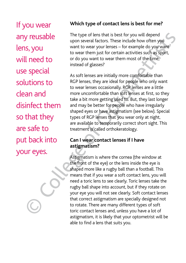If you wear any reusable lens, you will need to use special solutions to clean and disinfect them so that they are safe to put back into any reusal<br>lens, you<br>will need t<br>use specia<br>solutions t<br>clean and<br>disinfect tl<br>so that the<br>are safe to<br>put back is<br>your eyes.

#### **Which type of contact lens is best for me?**

The type of lens that is best for you will depend upon several factors. These include how often you want to wear your lenses – for example do you want to wear them just for certain activities such as sport, or do you want to wear them most of the time, instead of glasses?

As soft lenses are initially more comfortable than RGP lenses, they are ideal for people who only want to wear lenses occasionally. RGP lenses are a little more uncomfortable than soft lenses at first, so they take a bit more getting used to. But, they last longer and may be better for people who have irregularly shaped eyes or have astigmatism (see below). Special types of RGP lenses that you wear only at night, are available to temporarily correct short sight. This treatment is called orthokeratology.

#### **Can I wear contact lenses if I have astigmatism?**

Astigmatism is where the cornea (the window at the front of the eye) or the lens inside the eye is shaped more like a rugby ball than a football. This means that if you wear a soft contact lens, you will need a toric lens to see clearly. Toric lenses take the rugby ball shape into account, but if they rotate on your eye you will not see clearly. Soft contact lenses that correct astigmatism are specially designed not to rotate. There are many different types of soft toric contact lenses and, unless you have a lot of astigmatism, it is likely that your optometrist will be able to find a lens that suits you. The type of lens that is best for you will depend<br>
upon several factors. These include how often you<br>
want to wear your lenses – for example do you want<br>
to wear them just for certain activities such as sport,<br>
<br> **II** need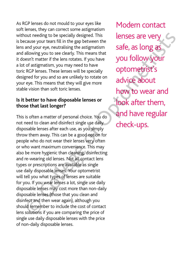As RGP lenses do not mould to your eyes like soft lenses, they can correct some astigmatism without needing to be specially designed. This is because your tears fill in the gap between the lens and your eye, neutralising the astigmatism and allowing you to see clearly. This means that it doesn't matter if the lens rotates. If you have a lot of astigmatism, you may need to have toric RGP lenses. These lenses will be specially designed for you and so are unlikely to rotate on your eye. This means that they will give more stable vision than soft toric lenses.

#### **Is it better to have disposable lenses or those that last longer?**

This is often a matter of personal choice. You do not need to clean and disinfect single use daily disposable lenses after each use, as you simply throw them away. This can be a good option for people who do not wear their lenses very often or who want maximum convenience. This may also be more hygienic than cleaning, disinfecting and re-wearing old lenses. Not all contact lens types or prescriptions are available as single use daily disposable lenses. Your optometrist will tell you what types of lenses are suitable for you. If you wear lenses a lot, single use daily disposable lenses may cost more than non-daily disposable lenses (those that you clean and disinfect and then wear again), although you should remember to include the cost of contact lens solutions if you are comparing the price of single use daily disposable lenses with the price of non-daily disposable lenses. out needing to be specially designed. This<br>
cause your tears fill in the gap betwean the and your eye, neutralising the astigrantism<br>
and your eye, neutralising the astigrantism<br>
allowing you to see clearly. This means tha

Modern contact lenses are very safe, as long as you follow your optometrist's advice about how to wear and look after them, and have regular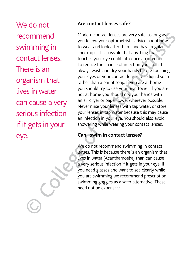We do not recommend swimming in contact lenses. There is an organism that lives in water can cause a very serious infection if it gets in your recc<br>
swir<br>
cont<br>
The<br>
orga<br>
lives<br>
can<br>
seric<br>
if it<br>
eye.

#### **Are contact lenses safe?**

Modern contact lenses are very safe, as long as you follow your optometrist's advice about how to wear and look after them, and have regular check-ups. It is possible that anything that touches your eye could introduce an infection. To reduce the chance of infection you should always wash and dry your hands before touching your eyes or your contact lenses. Use liquid soap rather than a bar of soap. If you are at home you should try to use your own towel. If you are not at home you should dry your hands with an air dryer or paper towel wherever possible. Never rinse your lenses with tap water, or store your lenses in tap water because this may cause an infection in your eye. You should also avoid showering while wearing your contact lenses. Comment Modern contact lenses are very safe, as long as<br>
imming in<br>
you follow your optometrist's advice about how<br>
that that the court in the collection<br>
the charge our eye could introduce an infection.<br>
To reduce the cha

#### **Can I swim in contact lenses?**

We do not recommend swimming in contact lenses. This is because there is an organism that lives in water (Acanthamoeba) than can cause a very serious infection if it gets in your eye. If you need glasses and want to see clearly while you are swimming we recommend prescription swimming goggles as a safer alternative. These need not be expensive.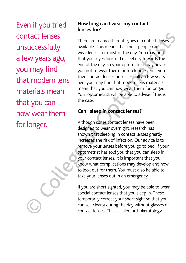Even if you tried contact lenses unsuccessfully a few years ago, you may find that modern lens materials mean that you can now wear them

#### **How long can I wear my contact lenses for?**

There are many different types of contact lenses available. This means that most people can wear lenses for most of the day. You may find that your eyes look red or feel dry towards the end of the day, so your optometrist may advise you not to wear them for too long. Even if you tried contact lenses unsuccessfully a few years ago, you may find that modern lens materials mean that you can now wear them for longer. Your optometrist will be able to advise if this is the case. Free are many different types of contact lenses<br>
unsuccessfully<br>
wailable. This means that most people can<br>
war lenses for most of the day, you may find<br>
you may find<br>
you may find<br>
you to to wear them for too long Feven i

#### **Can I sleep in contact lenses?**

Although some contact lenses have been designed to wear overnight, research has shown that sleeping in contact lenses greatly increases the risk of infection. Our advice is to remove your lenses before you go to bed. If your optometrist has told you that you can sleep in your contact lenses, it is important that you know what complications may develop and how to look out for them. You must also be able to take your lenses out in an emergency.

If you are short sighted, you may be able to wear special contact lenses that you sleep in. These temporarily correct your short sight so that you can see clearly during the day without glasses or contact lenses. This is called orthokeratology.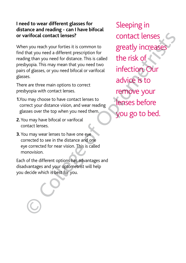#### **I need to wear different glasses for distance and reading - can I have bifocal or varifocal contact lenses?**

When you reach your forties it is common to find that you need a different prescription for reading than you need for distance. This is called presbyopia. This may mean that you need two pairs of glasses, or you need bifocal or varifocal glasses.

There are three main options to correct presbyopia with contact lenses.

- **1.**You may choose to have contact lenses to correct your distance vision, and wear reading glasses over the top when you need them.
- **2.**You may have bifocal or varifocal contact lenses.
- **3.** You may wear lenses to have one eye corrected to see in the distance and one eye corrected for near vision. This is called monovision.

Each of the different options has advantages and disadvantages and your optometrist will help you decide which is best for you.

Sleeping in contact lenses greatly increases the risk of infection. Our advice is to remove your lenses before or varifocal contact lenses? Contact lenses<br>
When you reach your forties it is common to greatly increased and that you need or distance. This is called<br>
reading than you need of rdistance. This is called<br>
persisyopia. Thi Friend Contract Lenses?<br>
Scribt and your contract Lenses and your contract Lenses and your contract is a scribe of distinct prescription for<br>
Straight an you need or distinct are. This is called<br>
Supplied. This may mean th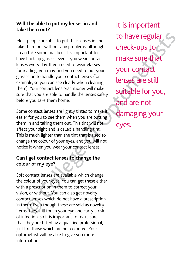#### **Will I be able to put my lenses in and take them out?**

Most people are able to put their lenses in and take them out without any problems, although it can take some practice. It is important to have back-up glasses even if you wear contact lenses every day. If you need to wear glasses for reading, you may find you need to put your glasses on to handle your contact lenses (for example, so you can see clearly when cleaning them). Your contact lens practitioner will make sure that you are able to handle the lenses safely before you take them home.

Some contact lenses are lightly tinted to make it easier for you to see them when you are putting them in and taking them out. This tint will not affect your sight and is called a handling tint. This is much lighter than the tint that is used to change the colour of your eyes, and you will not notice it when you wear your contact lenses.

#### **Can I get contact lenses to change the colour of my eye?**

Soft contact lenses are available which change the colour of your eyes. You can get these either with a prescription in them to correct your vision, or without. You can also get novelty contact lenses which do not have a prescription in them. Even though these are sold as novelty items, they still touch your eye and carry a risk of infection, so it is important to make sure that they are fitted by a qualified professional, just like those which are not coloured. Your optometrist will be able to give you more information.

It is important to have regular check-ups to make sure that your contact lenses are still suitable for you, and are not damaging your to have regular<br>then out without any problems, although<br>them out without any problems, although<br>be back-upps are on if you wear contact<br>es every day. If you wear out wour contact<br>ess. on to handle your constrelense for<br>exe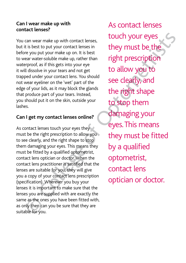#### **Can I wear make up with contact lenses?**

You can wear make up with contact lenses, but it is best to put your contact lenses in before you put your make up on. It is best to wear water-soluble make up, rather than waterproof, as if this gets into your eye it will dissolve in your tears and not get trapped under your contact lens. You should not wear eyeliner on the 'wet' part of the edge of your lids, as it may block the glands that produce part of your tears. Instead, you should put it on the skin, outside your lashes.

#### **Can I get my contact lenses online?**

As contact lenses touch your eyes they must be the right prescription to allow you to see clearly, and the right shape to stop them damaging your eyes. This means they must be fitted by a qualified optometrist, contact lens optician or doctor. When the contact lens practitioner is satisfied that the lenses are suitable for you, they will give you a copy of your contact lens prescription (specification). Wherever you buy your lenses it is important to make sure that the lenses you are supplied with are exactly the same as the ones you have been fitted with, as only then can you be sure that they are suitable for you.

As contact lenses touch your eyes they must be the right prescription to allow you to see clearly, and the right shape to stop them damaging your eyes. This means they must be fitted by a qualified optometrist, contact lens You can wear make up with contact lenses,<br>
but it is best to put your contact lenses in<br>
they must be the<br>
before you put your contact lenses in<br>
to wear varter-soluble make up, rather than<br>
tright prescription<br>
waterproof can wear make up with contact lenses,<br>touch your eyes<br>tis best to put your contact lenses in<br>eyou put your make up on. It is best<br>era water-soluble make up, rather than<br>eraproof, as if this gets into your eye<br>proof, as if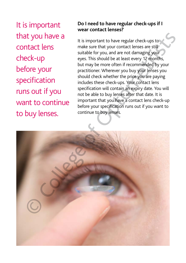It is important that you have a contact lens check-up before your specification runs out if you want to continue

#### **Do I need to have regular check-ups if I wear contact lenses?**

It is important to have regular check-ups to make sure that your contact lenses are still suitable for you, and are not damaging your eyes. This should be at least every 12 months, but may be more often if recommended by your practitioner. Wherever you buy your lenses you should check whether the price you are paying includes these check-ups. Your contact lens specification will contain an expiry date. You will not be able to buy lenses after that date. It is important that you have a contact lens check-up before your specification runs out if you want to continue to buy lenses.

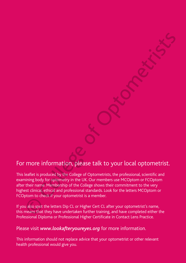#### For more information, please talk to your local optometrist.

This leaflet is produced by the College of Optometrists, the professional, scientific and examining body for optometry in the UK. Our members use MCOptom or FCOptom after their name. Membership of the College shows their commitment to the very highest clinical, ethical and professional standards. Look for the letters MCOptom or FCOptom to check if your optometrist is a member. more information, please talk to your local optometrist.<br>
The college of Optometrists in professional science of Optometrist<br>
leafter is produced by the College of Optometrists in enofssional, scientific and<br>
their name. M

If you also spot the letters Dip CL or Higher Cert CL after your optometrist's name, this means that they have undertaken further training, and have completed either the Professional Diploma or Professional Higher Certificate in Contact Lens Practice.

#### Please visit *www.lookafteryoureyes.org* for more information.

This information should not replace advice that your optometrist or other relevant health professional would give you.